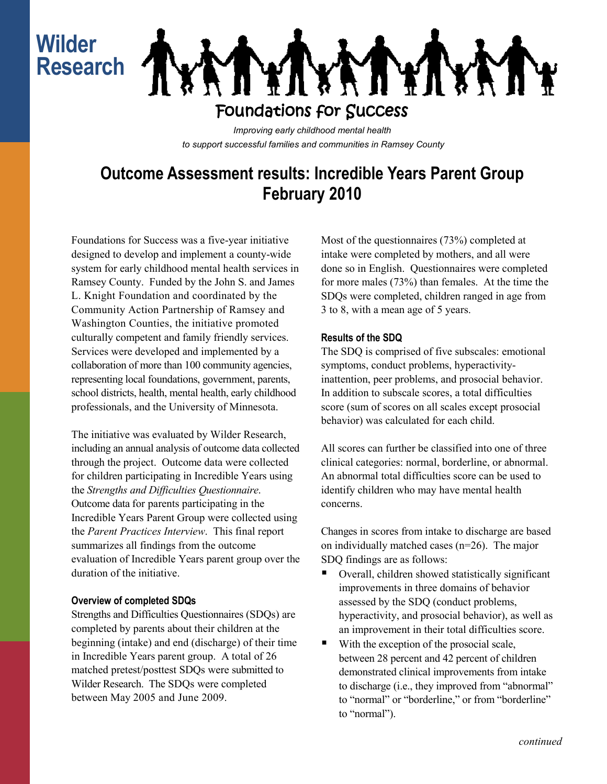## **Wilder Research**



### Foundations for Success

*Improving early childhood mental health to support successful families and communities in Ramsey County*

### **Outcome Assessment results: Incredible Years Parent Group February 2010**

Foundations for Success was a five-year initiative designed to develop and implement a county-wide system for early childhood mental health services in Ramsey County. Funded by the John S. and James L. Knight Foundation and coordinated by the Community Action Partnership of Ramsey and Washington Counties, the initiative promoted culturally competent and family friendly services. Services were developed and implemented by a collaboration of more than 100 community agencies, representing local foundations, government, parents, school districts, health, mental health, early childhood professionals, and the University of Minnesota.

The initiative was evaluated by Wilder Research, including an annual analysis of outcome data collected through the project. Outcome data were collected for children participating in Incredible Years using the *Strengths and Difficulties Questionnaire*. Outcome data for parents participating in the Incredible Years Parent Group were collected using the *Parent Practices Interview*. This final report summarizes all findings from the outcome evaluation of Incredible Years parent group over the duration of the initiative.

#### **Overview of completed SDQs**

Strengths and Difficulties Questionnaires (SDQs) are completed by parents about their children at the beginning (intake) and end (discharge) of their time in Incredible Years parent group. A total of 26 matched pretest/posttest SDQs were submitted to Wilder Research. The SDQs were completed between May 2005 and June 2009.

Most of the questionnaires (73%) completed at intake were completed by mothers, and all were done so in English. Questionnaires were completed for more males (73%) than females. At the time the SDQs were completed, children ranged in age from 3 to 8, with a mean age of 5 years.

#### **Results of the SDQ**

The SDQ is comprised of five subscales: emotional symptoms, conduct problems, hyperactivityinattention, peer problems, and prosocial behavior. In addition to subscale scores, a total difficulties score (sum of scores on all scales except prosocial behavior) was calculated for each child.

All scores can further be classified into one of three clinical categories: normal, borderline, or abnormal. An abnormal total difficulties score can be used to identify children who may have mental health concerns.

Changes in scores from intake to discharge are based on individually matched cases (n=26). The major SDQ findings are as follows:

- Overall, children showed statistically significant improvements in three domains of behavior assessed by the SDQ (conduct problems, hyperactivity, and prosocial behavior), as well as an improvement in their total difficulties score.
- With the exception of the prosocial scale, between 28 percent and 42 percent of children demonstrated clinical improvements from intake to discharge (i.e., they improved from "abnormal" to "normal" or "borderline," or from "borderline" to "normal").